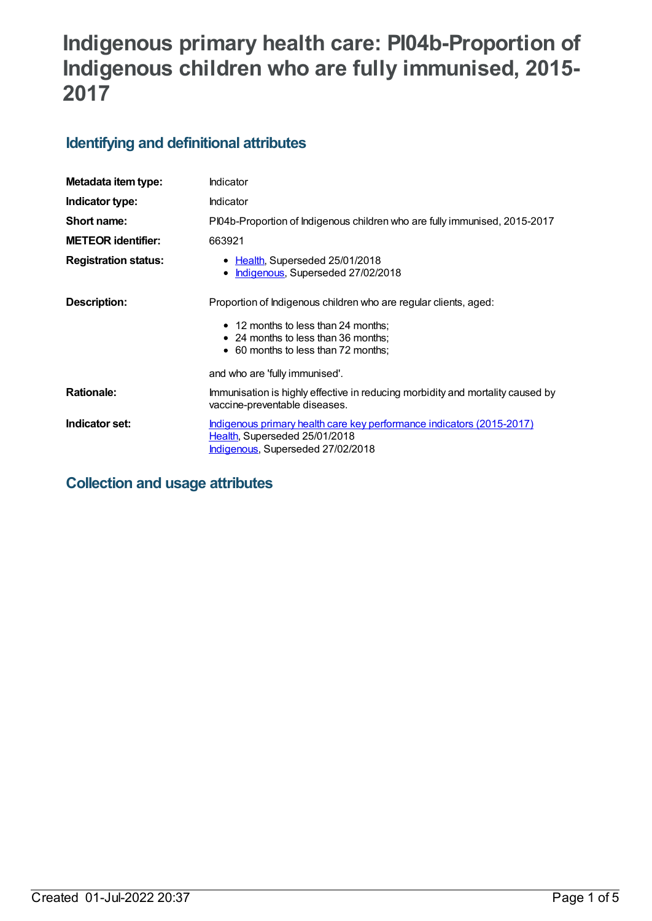# **Indigenous primary health care: PI04b-Proportion of Indigenous children who are fully immunised, 2015- 2017**

# **Identifying and definitional attributes**

| Metadata item type:         | Indicator                                                                                                                                   |
|-----------------------------|---------------------------------------------------------------------------------------------------------------------------------------------|
| Indicator type:             | Indicator                                                                                                                                   |
| Short name:                 | PI04b-Proportion of Indigenous children who are fully immunised, 2015-2017                                                                  |
| <b>METEOR identifier:</b>   | 663921                                                                                                                                      |
| <b>Registration status:</b> | • Health, Superseded 25/01/2018<br>Indigenous, Superseded 27/02/2018<br>$\bullet$                                                           |
| Description:                | Proportion of Indigenous children who are regular clients, aged:                                                                            |
|                             | • 12 months to less than 24 months;<br>• 24 months to less than 36 months;<br>• 60 months to less than 72 months;                           |
|                             | and who are 'fully immunised'.                                                                                                              |
| <b>Rationale:</b>           | Immunisation is highly effective in reducing morbidity and mortality caused by<br>vaccine-preventable diseases.                             |
| Indicator set:              | Indigenous primary health care key performance indicators (2015-2017)<br>Health, Superseded 25/01/2018<br>Indigenous, Superseded 27/02/2018 |

**Collection and usage attributes**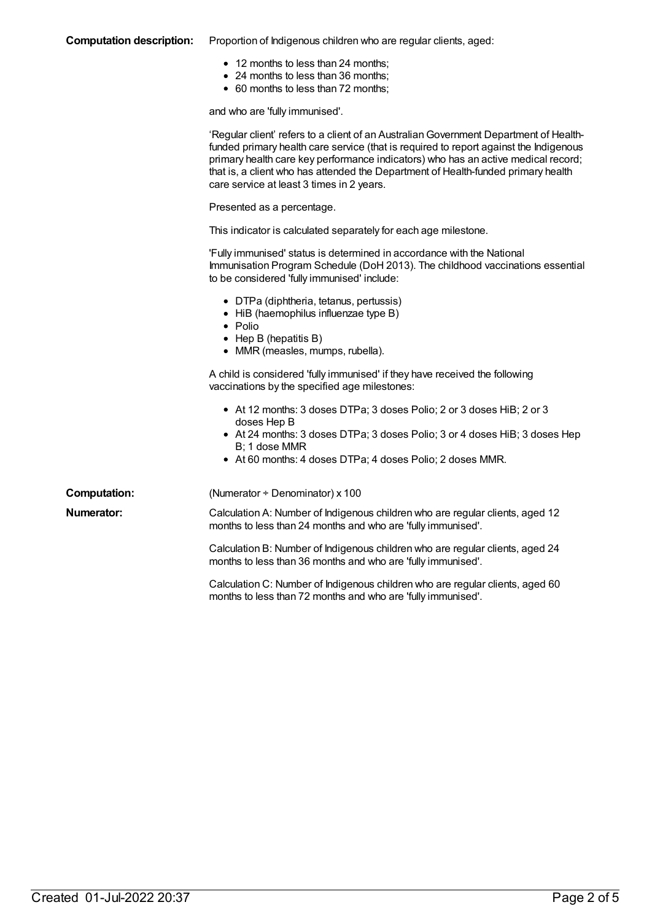### **Computation description:** Proportion of Indigenous children who are regular clients, aged:

- 12 months to less than 24 months;
- 24 months to less than 36 months;
- 60 months to less than 72 months;

and who are 'fully immunised'.

|                     | 'Regular client' refers to a client of an Australian Government Department of Health-<br>funded primary health care service (that is required to report against the Indigenous<br>primary health care key performance indicators) who has an active medical record;<br>that is, a client who has attended the Department of Health-funded primary health<br>care service at least 3 times in 2 years. |
|---------------------|-------------------------------------------------------------------------------------------------------------------------------------------------------------------------------------------------------------------------------------------------------------------------------------------------------------------------------------------------------------------------------------------------------|
|                     | Presented as a percentage.                                                                                                                                                                                                                                                                                                                                                                            |
|                     | This indicator is calculated separately for each age milestone.                                                                                                                                                                                                                                                                                                                                       |
|                     | 'Fully immunised' status is determined in accordance with the National<br>Immunisation Program Schedule (DoH 2013). The childhood vaccinations essential<br>to be considered 'fully immunised' include:                                                                                                                                                                                               |
|                     | • DTPa (diphtheria, tetanus, pertussis)<br>• HiB (haemophilus influenzae type B)<br>$\bullet$ Polio<br>$\bullet$ Hep B (hepatitis B)<br>• MMR (measles, mumps, rubella).                                                                                                                                                                                                                              |
|                     | A child is considered 'fully immunised' if they have received the following<br>vaccinations by the specified age milestones:                                                                                                                                                                                                                                                                          |
|                     | • At 12 months: 3 doses DTPa; 3 doses Polio; 2 or 3 doses HiB; 2 or 3<br>doses Hep B<br>• At 24 months: 3 doses DTPa; 3 doses Polio; 3 or 4 doses HiB; 3 doses Hep<br>B; 1 dose MMR<br>• At 60 months: 4 doses DTPa; 4 doses Polio; 2 doses MMR.                                                                                                                                                      |
| <b>Computation:</b> | (Numerator ÷ Denominator) x 100                                                                                                                                                                                                                                                                                                                                                                       |
| Numerator:          | Calculation A: Number of Indigenous children who are regular clients, aged 12<br>months to less than 24 months and who are 'fully immunised'.                                                                                                                                                                                                                                                         |
|                     | Calculation B: Number of Indigenous children who are regular clients, aged 24<br>months to less than 36 months and who are 'fully immunised'.                                                                                                                                                                                                                                                         |
|                     | Calculation C: Number of Indigenous children who are regular clients, aged 60<br>months to less than 72 months and who are 'fully immunised'.                                                                                                                                                                                                                                                         |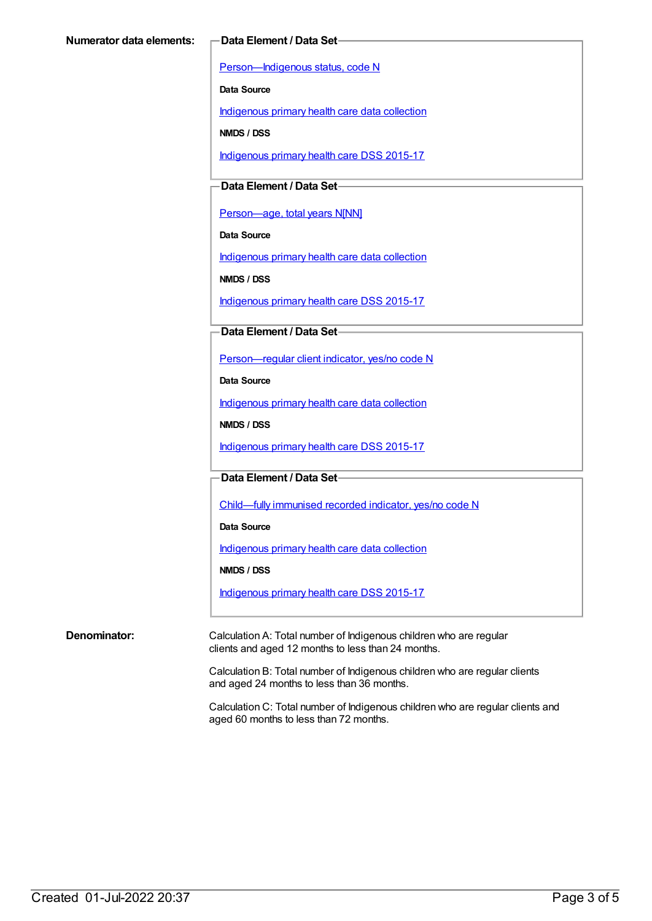[Person—Indigenous](https://meteor.aihw.gov.au/content/291036) status, code N

**Data Source**

[Indigenous](https://meteor.aihw.gov.au/content/430643) primary health care data collection

**NMDS / DSS**

[Indigenous](https://meteor.aihw.gov.au/content/585036) primary health care DSS 2015-17

**Data Element / Data Set**

[Person—age,](https://meteor.aihw.gov.au/content/303794) total years N[NN]

**Data Source**

[Indigenous](https://meteor.aihw.gov.au/content/430643) primary health care data collection

**NMDS / DSS**

[Indigenous](https://meteor.aihw.gov.au/content/585036) primary health care DSS 2015-17

**Data Element / Data Set**

[Person—regular](https://meteor.aihw.gov.au/content/436639) client indicator, yes/no code N

**Data Source**

[Indigenous](https://meteor.aihw.gov.au/content/430643) primary health care data collection

**NMDS / DSS**

[Indigenous](https://meteor.aihw.gov.au/content/585036) primary health care DSS 2015-17

**Data Element / Data Set**

[Child—fully](https://meteor.aihw.gov.au/content/457664) immunised recorded indicator, yes/no code N

**Data Source**

[Indigenous](https://meteor.aihw.gov.au/content/430643) primary health care data collection

**NMDS / DSS**

[Indigenous](https://meteor.aihw.gov.au/content/585036) primary health care DSS 2015-17

**Denominator:** Calculation A: Total number of Indigenous children who are regular clients and aged 12 months to less than 24 months.

> Calculation B: Total number of Indigenous children who are regular clients and aged 24 months to less than 36 months.

Calculation C: Total number of Indigenous children who are regular clients and aged 60 months to less than 72 months.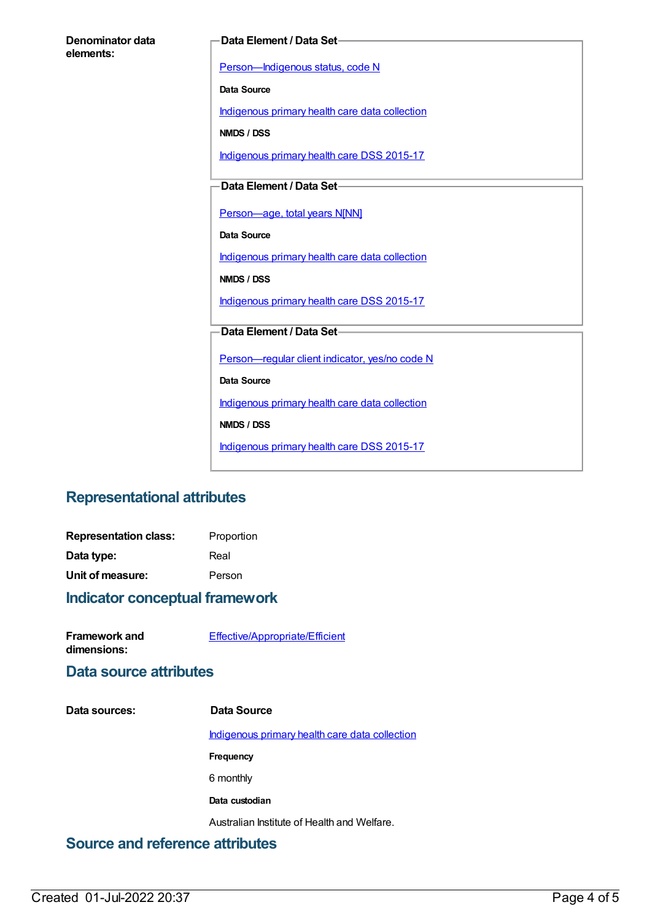| Denominator data |  |
|------------------|--|
| elements:        |  |

#### **Data Element / Data Set**

[Person—Indigenous](https://meteor.aihw.gov.au/content/291036) status, code N

**Data Source**

[Indigenous](https://meteor.aihw.gov.au/content/430643) primary health care data collection

**NMDS / DSS**

[Indigenous](https://meteor.aihw.gov.au/content/585036) primary health care DSS 2015-17

**Data Element / Data Set**

[Person—age,](https://meteor.aihw.gov.au/content/303794) total years N[NN]

**Data Source**

[Indigenous](https://meteor.aihw.gov.au/content/430643) primary health care data collection

**NMDS / DSS**

[Indigenous](https://meteor.aihw.gov.au/content/585036) primary health care DSS 2015-17

# **Data Element / Data Set**

[Person—regular](https://meteor.aihw.gov.au/content/436639) client indicator, yes/no code N

**Data Source**

[Indigenous](https://meteor.aihw.gov.au/content/430643) primary health care data collection

**NMDS / DSS**

[Indigenous](https://meteor.aihw.gov.au/content/585036) primary health care DSS 2015-17

# **Representational attributes**

| <b>Representation class:</b> | Proportion |
|------------------------------|------------|
| Data type:                   | Real       |
| Unit of measure:             | Person     |

## **Indicator conceptual framework**

**Framework and dimensions:**

[Effective/Appropriate/Efficient](https://meteor.aihw.gov.au/content/410681)

## **Data source attributes**

#### **Data sources: Data Source**

[Indigenous](https://meteor.aihw.gov.au/content/430643) primary health care data collection

**Frequency**

6 monthly

**Data custodian**

Australian Institute of Health and Welfare.

# **Source and reference attributes**